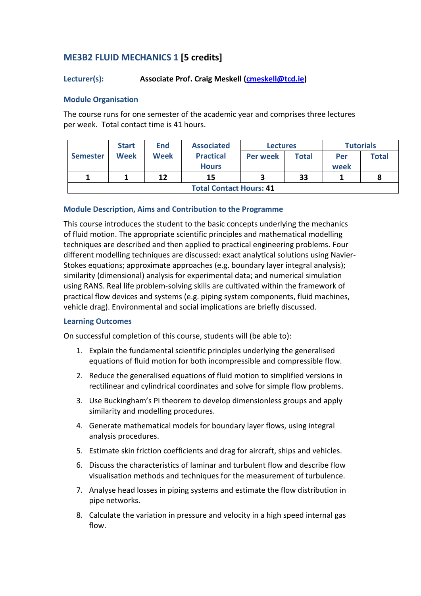# **ME3B2 FLUID MECHANICS 1 [5 credits]**

# **Lecturer(s): Associate Prof. Craig Meskell (<b>cmeskell@tcd.ie**)

#### **Module Organisation**

The course runs for one semester of the academic year and comprises three lectures per week. Total contact time is 41 hours.

|                                | <b>Start</b> | <b>End</b> | <b>Associated</b> | <b>Lectures</b> |              | <b>Tutorials</b> |              |
|--------------------------------|--------------|------------|-------------------|-----------------|--------------|------------------|--------------|
| <b>Semester</b>                | Week         | Week       | <b>Practical</b>  | <b>Per week</b> | <b>Total</b> | Per              | <b>Total</b> |
|                                |              |            | <b>Hours</b>      |                 |              | week             |              |
|                                |              | 12         | 15                |                 | 33           |                  |              |
| <b>Total Contact Hours: 41</b> |              |            |                   |                 |              |                  |              |

## **Module Description, Aims and Contribution to the Programme**

This course introduces the student to the basic concepts underlying the mechanics of fluid motion. The appropriate scientific principles and mathematical modelling techniques are described and then applied to practical engineering problems. Four different modelling techniques are discussed: exact analytical solutions using Navier-Stokes equations; approximate approaches (e.g. boundary layer integral analysis); similarity (dimensional) analysis for experimental data; and numerical simulation using RANS. Real life problem-solving skills are cultivated within the framework of practical flow devices and systems (e.g. piping system components, fluid machines, vehicle drag). Environmental and social implications are briefly discussed.

#### **Learning Outcomes**

On successful completion of this course, students will (be able to):

- 1. Explain the fundamental scientific principles underlying the generalised equations of fluid motion for both incompressible and compressible flow.
- 2. Reduce the generalised equations of fluid motion to simplified versions in rectilinear and cylindrical coordinates and solve for simple flow problems.
- 3. Use Buckingham's Pi theorem to develop dimensionless groups and apply similarity and modelling procedures.
- 4. Generate mathematical models for boundary layer flows, using integral analysis procedures.
- 5. Estimate skin friction coefficients and drag for aircraft, ships and vehicles.
- 6. Discuss the characteristics of laminar and turbulent flow and describe flow visualisation methods and techniques for the measurement of turbulence.
- 7. Analyse head losses in piping systems and estimate the flow distribution in pipe networks.
- 8. Calculate the variation in pressure and velocity in a high speed internal gas flow.